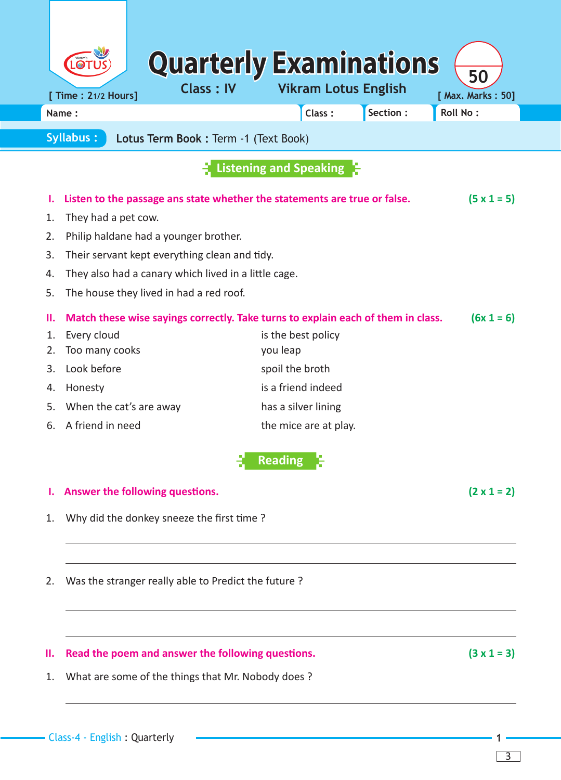| Name:                                                                                  |                    | Class:                        | Section: | <b>Roll No:</b>    |  |  |
|----------------------------------------------------------------------------------------|--------------------|-------------------------------|----------|--------------------|--|--|
| <b>Syllabus:</b><br>Lotus Term Book: Term -1 (Text Book)                               |                    |                               |          |                    |  |  |
|                                                                                        |                    | <b>Listening and Speaking</b> |          |                    |  |  |
| Listen to the passage ans state whether the statements are true or false.              |                    |                               |          | $(5 \times 1 = 5)$ |  |  |
| They had a pet cow.                                                                    |                    |                               |          |                    |  |  |
| Philip haldane had a younger brother.                                                  |                    |                               |          |                    |  |  |
| Their servant kept everything clean and tidy.                                          |                    |                               |          |                    |  |  |
| They also had a canary which lived in a little cage.                                   |                    |                               |          |                    |  |  |
| The house they lived in had a red roof.                                                |                    |                               |          |                    |  |  |
| Match these wise sayings correctly. Take turns to explain each of them in class.<br>н. |                    |                               |          | $(6x 1 = 6)$       |  |  |
| Every cloud<br>1.                                                                      | is the best policy |                               |          |                    |  |  |
| Too many cooks<br>2.                                                                   | you leap           |                               |          |                    |  |  |
| Look before<br>3.                                                                      |                    | spoil the broth               |          |                    |  |  |
| Honesty<br>4.                                                                          |                    | is a friend indeed            |          |                    |  |  |
| When the cat's are away<br>5.                                                          |                    | has a silver lining           |          |                    |  |  |
| A friend in need<br>6.                                                                 |                    | the mice are at play.         |          |                    |  |  |
|                                                                                        |                    | Reading<br>L.C                |          |                    |  |  |
| Answer the following questions.                                                        |                    |                               |          |                    |  |  |
| Why did the donkey sneeze the first time?<br>1.                                        |                    |                               |          |                    |  |  |
| Was the stranger really able to Predict the future?<br>2.                              |                    |                               |          |                    |  |  |
| Read the poem and answer the following questions.<br>н.                                |                    |                               |          | $(3 \times 1 = 3)$ |  |  |
| What are some of the things that Mr. Nobody does?                                      |                    |                               |          |                    |  |  |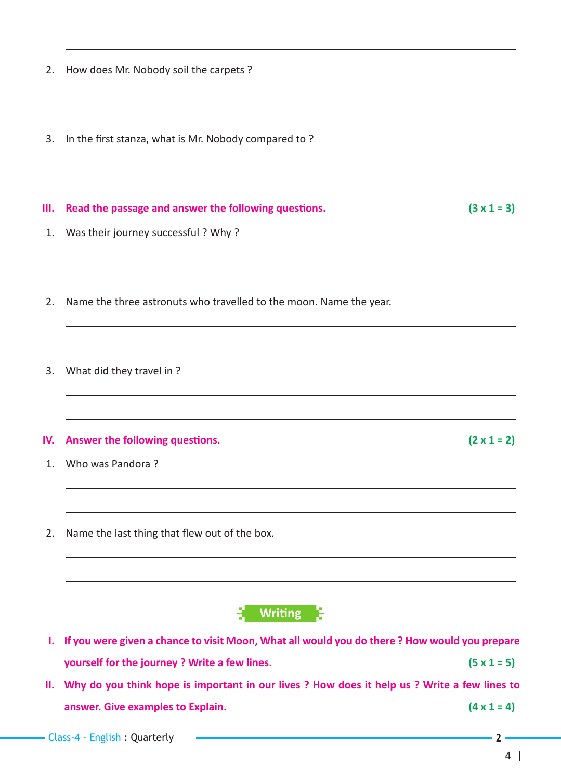| 2. | How does Mr. Nobody soil the carpets ?                                                       |                    |
|----|----------------------------------------------------------------------------------------------|--------------------|
|    |                                                                                              |                    |
|    | In the first stanza, what is Mr. Nobody compared to?                                         |                    |
|    | Read the passage and answer the following questions.                                         | $(3 \times 1 = 3)$ |
|    | Was their journey successful? Why?                                                           |                    |
|    | Name the three astronuts who travelled to the moon. Name the year.                           |                    |
|    | What did they travel in ?                                                                    |                    |
|    | Answer the following questions.                                                              | $(2 \times 1 = 2)$ |
|    | Who was Pandora?                                                                             |                    |
|    | Name the last thing that flew out of the box.                                                |                    |
|    | <b>Writing</b>                                                                               |                    |
|    | If you were given a chance to visit Moon, What all would you do there? How would you prepare |                    |
|    | yourself for the journey ? Write a few lines.                                                | $(5 \times 1 = 5)$ |

- 
- $3. \quad W$

- $1. V$
- 2. Name the last thing that flew out of the box.

**II. Why do you think hope is important in our lives ? How does it help us ? Write a few lines to answer. Give examples to Explain. (4 x 1 = 4)**

4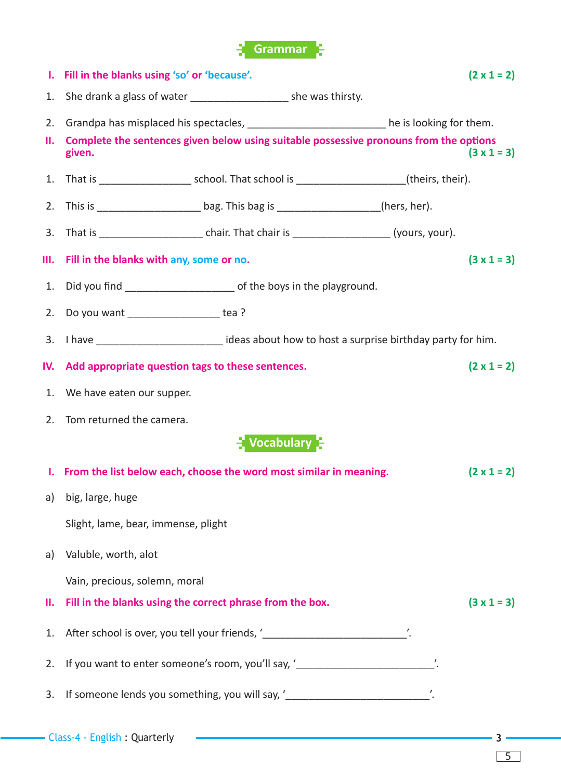

|            | 1. Fill in the blanks using 'so' or 'because'.                                                    |  |                    |  | $(2 \times 1 = 2)$ |  |  |  |  |  |  |
|------------|---------------------------------------------------------------------------------------------------|--|--------------------|--|--------------------|--|--|--|--|--|--|
|            | 1. She drank a glass of water ________________________ she was thirsty.                           |  |                    |  |                    |  |  |  |  |  |  |
|            | 2. Grandpa has misplaced his spectacles, _____________________________he is looking for them.     |  |                    |  |                    |  |  |  |  |  |  |
| <b>II.</b> | Complete the sentences given below using suitable possessive pronouns from the options<br>given.  |  |                    |  | $(3 \times 1 = 3)$ |  |  |  |  |  |  |
|            |                                                                                                   |  |                    |  |                    |  |  |  |  |  |  |
|            | 2. This is __________________________bag. This bag is ____________________(hers, her).            |  |                    |  |                    |  |  |  |  |  |  |
|            |                                                                                                   |  |                    |  |                    |  |  |  |  |  |  |
|            | III. Fill in the blanks with any, some or no.                                                     |  | $(3 \times 1 = 3)$ |  |                    |  |  |  |  |  |  |
|            | 1. Did you find _____________________________ of the boys in the playground.                      |  |                    |  |                    |  |  |  |  |  |  |
|            | 2. Do you want __________________ tea ?                                                           |  |                    |  |                    |  |  |  |  |  |  |
|            | 3. I have _____________________________ideas about how to host a surprise birthday party for him. |  |                    |  |                    |  |  |  |  |  |  |
|            | IV. Add appropriate question tags to these sentences.                                             |  |                    |  | $(2 \times 1 = 2)$ |  |  |  |  |  |  |
|            | 1. We have eaten our supper.                                                                      |  |                    |  |                    |  |  |  |  |  |  |
|            | 2. Tom returned the camera.                                                                       |  |                    |  |                    |  |  |  |  |  |  |
|            | $\frac{1}{2}$ Vocabulary $\frac{1}{2}$                                                            |  |                    |  |                    |  |  |  |  |  |  |
|            | I. From the list below each, choose the word most similar in meaning.                             |  |                    |  | $(2 \times 1 = 2)$ |  |  |  |  |  |  |
|            | a) big, large, huge                                                                               |  |                    |  |                    |  |  |  |  |  |  |
|            | Slight, lame, bear, immense, plight                                                               |  |                    |  |                    |  |  |  |  |  |  |
| a)         | Valuble, worth, alot                                                                              |  |                    |  |                    |  |  |  |  |  |  |
|            | Vain, precious, solemn, moral                                                                     |  |                    |  |                    |  |  |  |  |  |  |
| Ш.         | Fill in the blanks using the correct phrase from the box.                                         |  |                    |  | $(3 \times 1 = 3)$ |  |  |  |  |  |  |
| 1.         | After school is over, you tell your friends, '______________________________'.                    |  |                    |  |                    |  |  |  |  |  |  |
| 2.         | If you want to enter someone's room, you'll say, '___________________________'.                   |  |                    |  |                    |  |  |  |  |  |  |
| 3.         | If someone lends you something, you will say, '_______________________________'.                  |  |                    |  |                    |  |  |  |  |  |  |